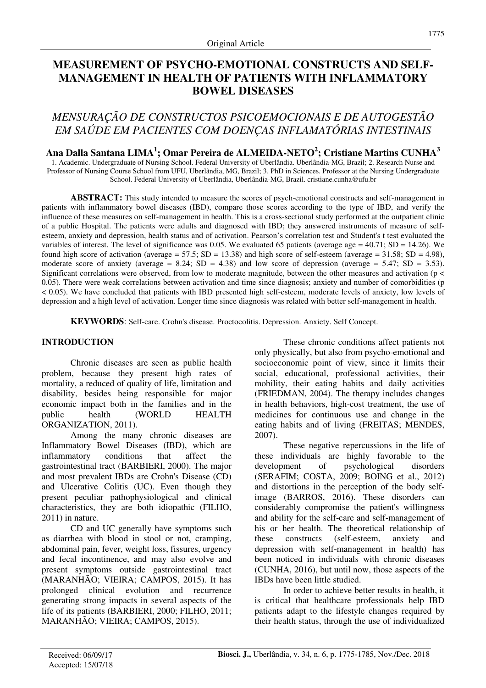# **MEASUREMENT OF PSYCHO-EMOTIONAL CONSTRUCTS AND SELF-MANAGEMENT IN HEALTH OF PATIENTS WITH INFLAMMATORY BOWEL DISEASES**

# *MENSURAÇÃO DE CONSTRUCTOS PSICOEMOCIONAIS E DE AUTOGESTÃO EM SAÚDE EM PACIENTES COM DOENÇAS INFLAMATÓRIAS INTESTINAIS*

# **Ana Dalla Santana LIMA<sup>1</sup> ; Omar Pereira de ALMEIDA-NETO<sup>2</sup> ; Cristiane Martins CUNHA<sup>3</sup>**

1. Academic. Undergraduate of Nursing School. Federal University of Uberlândia. Uberlândia-MG, Brazil; 2. Research Nurse and Professor of Nursing Course School from UFU, Uberlândia, MG, Brazil; 3. PhD in Sciences. Professor at the Nursing Undergraduate School. Federal University of Uberlândia, Uberlândia-MG, Brazil. cristiane.cunha@ufu.br

**ABSTRACT:** This study intended to measure the scores of psych-emotional constructs and self-management in patients with inflammatory bowel diseases (IBD), compare those scores according to the type of IBD, and verify the influence of these measures on self-management in health. This is a cross-sectional study performed at the outpatient clinic of a public Hospital. The patients were adults and diagnosed with IBD; they answered instruments of measure of selfesteem, anxiety and depression, health status and of activation. Pearson's correlation test and Student's t test evaluated the variables of interest. The level of significance was 0.05. We evaluated 65 patients (average age =  $40.71$ ; SD =  $14.26$ ). We found high score of activation (average = 57.5;  $SD = 13.38$ ) and high score of self-esteem (average = 31.58;  $SD = 4.98$ ), moderate score of anxiety (average = 8.24; SD = 4.38) and low score of depression (average = 5.47; SD = 3.53). Significant correlations were observed, from low to moderate magnitude, between the other measures and activation ( $p <$ 0.05). There were weak correlations between activation and time since diagnosis; anxiety and number of comorbidities (p < 0.05). We have concluded that patients with IBD presented high self-esteem, moderate levels of anxiety, low levels of depression and a high level of activation. Longer time since diagnosis was related with better self-management in health.

**KEYWORDS**: Self-care. Crohn's disease. Proctocolitis. Depression. Anxiety. Self Concept.

### **INTRODUCTION**

Chronic diseases are seen as public health problem, because they present high rates of mortality, a reduced of quality of life, limitation and disability, besides being responsible for major economic impact both in the families and in the public health (WORLD HEALTH ORGANIZATION, 2011).

Among the many chronic diseases are Inflammatory Bowel Diseases (IBD), which are inflammatory conditions that affect the gastrointestinal tract (BARBIERI, 2000). The major and most prevalent IBDs are Crohn's Disease (CD) and Ulcerative Colitis (UC). Even though they present peculiar pathophysiological and clinical characteristics, they are both idiopathic (FILHO, 2011) in nature.

CD and UC generally have symptoms such as diarrhea with blood in stool or not, cramping, abdominal pain, fever, weight loss, fissures, urgency and fecal incontinence, and may also evolve and present symptoms outside gastrointestinal tract (MARANHÃO; VIEIRA; CAMPOS, 2015). It has prolonged clinical evolution and recurrence generating strong impacts in several aspects of the life of its patients (BARBIERI, 2000; FILHO, 2011; MARANHÃO; VIEIRA; CAMPOS, 2015).

These chronic conditions affect patients not only physically, but also from psycho-emotional and socioeconomic point of view, since it limits their social, educational, professional activities, their mobility, their eating habits and daily activities (FRIEDMAN, 2004). The therapy includes changes in health behaviors, high-cost treatment, the use of medicines for continuous use and change in the eating habits and of living (FREITAS; MENDES, 2007).

These negative repercussions in the life of these individuals are highly favorable to the development of psychological disorders (SERAFIM; COSTA, 2009; BOING et al., 2012) and distortions in the perception of the body selfimage (BARROS, 2016). These disorders can considerably compromise the patient's willingness and ability for the self-care and self-management of his or her health. The theoretical relationship of these constructs (self-esteem, anxiety and depression with self-management in health) has been noticed in individuals with chronic diseases (CUNHA, 2016), but until now, those aspects of the IBDs have been little studied.

In order to achieve better results in health, it is critical that healthcare professionals help IBD patients adapt to the lifestyle changes required by their health status, through the use of individualized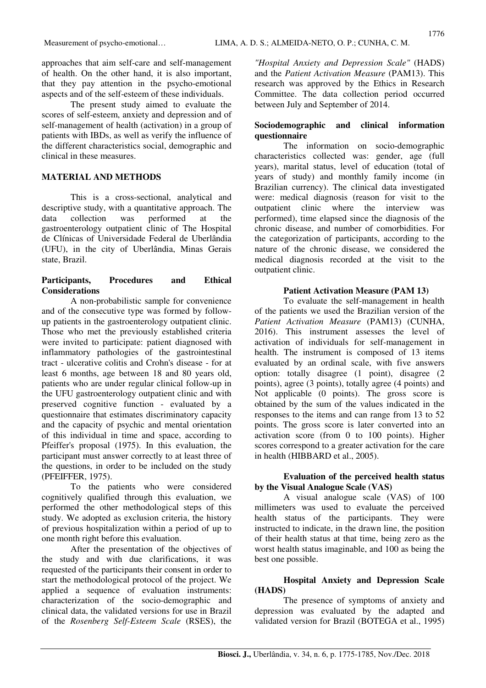approaches that aim self-care and self-management of health. On the other hand, it is also important, that they pay attention in the psycho-emotional aspects and of the self-esteem of these individuals.

The present study aimed to evaluate the scores of self-esteem, anxiety and depression and of self-management of health (activation) in a group of patients with IBDs, as well as verify the influence of the different characteristics social, demographic and clinical in these measures.

# **MATERIAL AND METHODS**

This is a cross-sectional, analytical and descriptive study, with a quantitative approach. The data collection was performed at the gastroenterology outpatient clinic of The Hospital de Clínicas of Universidade Federal de Uberlândia (UFU), in the city of Uberlândia, Minas Gerais state, Brazil.

# **Participants, Procedures and Ethical Considerations**

A non-probabilistic sample for convenience and of the consecutive type was formed by followup patients in the gastroenterology outpatient clinic. Those who met the previously established criteria were invited to participate: patient diagnosed with inflammatory pathologies of the gastrointestinal tract - ulcerative colitis and Crohn's disease - for at least 6 months, age between 18 and 80 years old, patients who are under regular clinical follow-up in the UFU gastroenterology outpatient clinic and with preserved cognitive function - evaluated by a questionnaire that estimates discriminatory capacity and the capacity of psychic and mental orientation of this individual in time and space, according to Pfeiffer's proposal (1975). In this evaluation, the participant must answer correctly to at least three of the questions, in order to be included on the study (PFEIFFER, 1975).

To the patients who were considered cognitively qualified through this evaluation, we performed the other methodological steps of this study. We adopted as exclusion criteria, the history of previous hospitalization within a period of up to one month right before this evaluation.

After the presentation of the objectives of the study and with due clarifications, it was requested of the participants their consent in order to start the methodological protocol of the project. We applied a sequence of evaluation instruments: characterization of the socio-demographic and clinical data, the validated versions for use in Brazil of the *Rosenberg Self-Esteem Scale* (RSES), the

*"Hospital Anxiety and Depression Scale"* (HADS) and the *Patient Activation Measure* (PAM13). This research was approved by the Ethics in Research Committee. The data collection period occurred between July and September of 2014.

### **Sociodemographic and clinical information questionnaire**

The information on socio-demographic characteristics collected was: gender, age (full years), marital status, level of education (total of years of study) and monthly family income (in Brazilian currency). The clinical data investigated were: medical diagnosis (reason for visit to the outpatient clinic where the interview was performed), time elapsed since the diagnosis of the chronic disease, and number of comorbidities. For the categorization of participants, according to the nature of the chronic disease, we considered the medical diagnosis recorded at the visit to the outpatient clinic.

### **Patient Activation Measure (PAM 13)**

To evaluate the self-management in health of the patients we used the Brazilian version of the *Patient Activation Measure* (PAM13) (CUNHA, 2016). This instrument assesses the level of activation of individuals for self-management in health. The instrument is composed of 13 items evaluated by an ordinal scale, with five answers option: totally disagree (1 point), disagree (2 points), agree (3 points), totally agree (4 points) and Not applicable (0 points). The gross score is obtained by the sum of the values indicated in the responses to the items and can range from 13 to 52 points. The gross score is later converted into an activation score (from 0 to 100 points). Higher scores correspond to a greater activation for the care in health (HIBBARD et al., 2005).

### **Evaluation of the perceived health status by the Visual Analogue Scale (VAS)**

A visual analogue scale (VAS) of 100 millimeters was used to evaluate the perceived health status of the participants. They were instructed to indicate, in the drawn line, the position of their health status at that time, being zero as the worst health status imaginable, and 100 as being the best one possible.

# **Hospital Anxiety and Depression Scale (HADS)**

The presence of symptoms of anxiety and depression was evaluated by the adapted and validated version for Brazil (BOTEGA et al., 1995)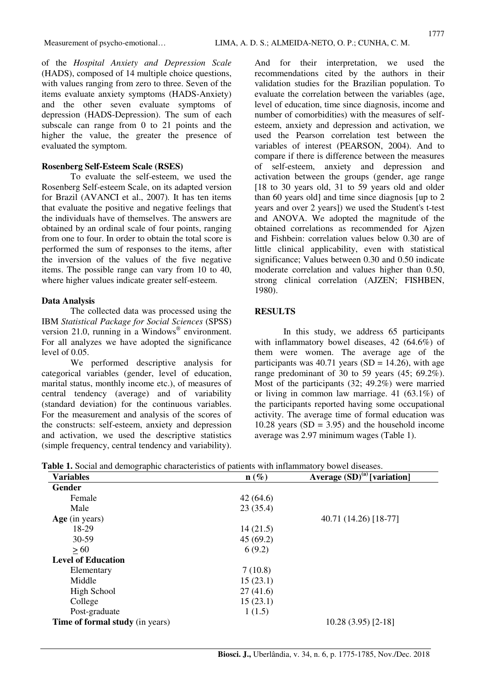of the *Hospital Anxiety and Depression Scale* (HADS), composed of 14 multiple choice questions, with values ranging from zero to three. Seven of the items evaluate anxiety symptoms (HADS-Anxiety) and the other seven evaluate symptoms of depression (HADS-Depression). The sum of each subscale can range from 0 to 21 points and the higher the value, the greater the presence of evaluated the symptom.

#### **Rosenberg Self-Esteem Scale (RSES)**

To evaluate the self-esteem, we used the Rosenberg Self-esteem Scale, on its adapted version for Brazil (AVANCI et al., 2007)*.* It has ten items that evaluate the positive and negative feelings that the individuals have of themselves. The answers are obtained by an ordinal scale of four points, ranging from one to four. In order to obtain the total score is performed the sum of responses to the items, after the inversion of the values of the five negative items. The possible range can vary from 10 to 40, where higher values indicate greater self-esteem.

#### **Data Analysis**

The collected data was processed using the IBM *Statistical Package for Social Sciences* (SPSS) version 21.0, running in a Windows<sup>®</sup> environment. For all analyzes we have adopted the significance level of 0.05.

We performed descriptive analysis for categorical variables (gender, level of education, marital status, monthly income etc.), of measures of central tendency (average) and of variability (standard deviation) for the continuous variables. For the measurement and analysis of the scores of the constructs: self-esteem, anxiety and depression and activation, we used the descriptive statistics (simple frequency, central tendency and variability). And for their interpretation, we used the recommendations cited by the authors in their validation studies for the Brazilian population. To evaluate the correlation between the variables (age, level of education, time since diagnosis, income and number of comorbidities) with the measures of selfesteem, anxiety and depression and activation, we used the Pearson correlation test between the variables of interest (PEARSON, 2004). And to compare if there is difference between the measures of self-esteem, anxiety and depression and activation between the groups (gender, age range [18 to 30 years old, 31 to 59 years old and older than 60 years old] and time since diagnosis [up to 2 years and over 2 years]) we used the Student's t-test and ANOVA. We adopted the magnitude of the obtained correlations as recommended for Ajzen and Fishbein: correlation values below 0.30 are of little clinical applicability, even with statistical significance; Values between 0.30 and 0.50 indicate moderate correlation and values higher than 0.50, strong clinical correlation (AJZEN; FISHBEN, 1980).

#### **RESULTS**

In this study, we address 65 participants with inflammatory bowel diseases, 42 (64.6%) of them were women. The average age of the participants was 40.71 years (SD = 14.26), with age range predominant of 30 to 59 years (45; 69.2%). Most of the participants (32; 49.2%) were married or living in common law marriage. 41 (63.1%) of the participants reported having some occupational activity. The average time of formal education was 10.28 years  $(SD = 3.95)$  and the household income average was 2.97 minimum wages (Table 1).

| Table 1. Social and demographic characteristics of patients with inflammatory bowel diseases. |  |
|-----------------------------------------------------------------------------------------------|--|
|-----------------------------------------------------------------------------------------------|--|

| <b>Variables</b>                       | $\mathbf{n}(\%)$ | Average $(SD)^{(a)}$ [variation] |  |  |
|----------------------------------------|------------------|----------------------------------|--|--|
| <b>Gender</b>                          |                  |                                  |  |  |
| Female                                 | 42(64.6)         |                                  |  |  |
| Male                                   | 23(35.4)         |                                  |  |  |
| Age (in years)                         |                  | 40.71 (14.26) [18-77]            |  |  |
| 18-29                                  | 14(21.5)         |                                  |  |  |
| 30-59                                  | 45(69.2)         |                                  |  |  |
| >60                                    | 6(9.2)           |                                  |  |  |
| <b>Level of Education</b>              |                  |                                  |  |  |
| Elementary                             | 7(10.8)          |                                  |  |  |
| Middle                                 | 15(23.1)         |                                  |  |  |
| High School                            | 27(41.6)         |                                  |  |  |
| College                                | 15(23.1)         |                                  |  |  |
| Post-graduate                          | 1(1.5)           |                                  |  |  |
| <b>Time of formal study</b> (in years) |                  | $10.28(3.95)[2-18]$              |  |  |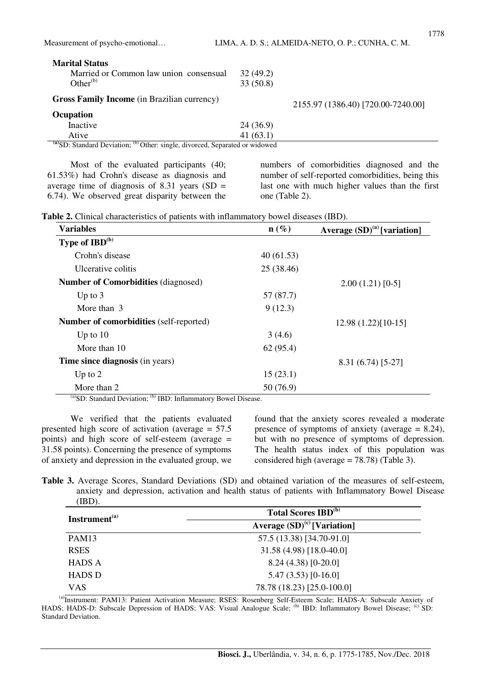| <b>Marital Status</b><br>Married or Common law union consensual<br>Other <sup>(b)</sup> | 32(49.2)<br>33(50.8) |                                    |
|-----------------------------------------------------------------------------------------|----------------------|------------------------------------|
| <b>Gross Family Income</b> (in Brazilian currency)                                      |                      | 2155.97 (1386.40) [720.00-7240.00] |
| Ocupation                                                                               |                      |                                    |
| Inactive                                                                                | 24(36.9)             |                                    |
| Ative                                                                                   | 41(63.1)             |                                    |
| (a) SD: Standard Deviation; (b) Other: single, divorced, Separated or widowed           |                      |                                    |

Most of the evaluated participants (40; 61.53%) had Crohn's disease as diagnosis and average time of diagnosis of 8.31 years  $(SD =$ 6.74). We observed great disparity between the

numbers of comorbidities diagnosed and the number of self-reported comorbidities, being this last one with much higher values than the first one (Table 2).

|  | <b>Table 2.</b> Clinical characteristics of patients with inflammatory bowel diseases (IBD). |  |
|--|----------------------------------------------------------------------------------------------|--|
|--|----------------------------------------------------------------------------------------------|--|

| Variables                                               | $n(\%)$    | Average $(SD)^{(a)}$ [variation] |
|---------------------------------------------------------|------------|----------------------------------|
| <b>Type of IBD<sup>(b)</sup></b>                        |            |                                  |
| Crohn's disease                                         | 40(61.53)  |                                  |
| Ulcerative colitis                                      | 25 (38.46) |                                  |
| <b>Number of Comorbidities (diagnosed)</b>              |            | $2.00(1.21)[0-5]$                |
| Up to $3$                                               | 57 (87.7)  |                                  |
| More than 3                                             | 9(12.3)    |                                  |
| Number of comorbidities (self-reported)                 |            | $12.98(1.22)[10-15]$             |
| Up to $10$                                              | 3(4.6)     |                                  |
| More than 10                                            | 62(95.4)   |                                  |
| <b>Time since diagnosis</b> (in years)                  |            | 8.31 (6.74) [5-27]               |
| Up to $2$                                               | 15(23.1)   |                                  |
| More than 2<br>$(h)$ $\mathbf{r}$ $\mathbf{r}$ $\alpha$ | 50 (76.9)  |                                  |

 $^{(a)}$ SD: Standard Deviation;  $^{(b)}$  IBD: Inflammatory Bowel Disease.

We verified that the patients evaluated presented high score of activation (average = 57.5 points) and high score of self-esteem (average = 31.58 points). Concerning the presence of symptoms of anxiety and depression in the evaluated group, we found that the anxiety scores revealed a moderate presence of symptoms of anxiety (average = 8.24), but with no presence of symptoms of depression. The health status index of this population was considered high (average = 78.78) (Table 3).

**Table 3.** Average Scores, Standard Deviations (SD) and obtained variation of the measures of self-esteem, anxiety and depression, activation and health status of patients with Inflammatory Bowel Disease (IBD).

| Instrument <sup>(a)</sup> | <b>Total Scores IBD<sup>(b)</sup></b> |
|---------------------------|---------------------------------------|
|                           | Average $(SD)^{(c)}$ [Variation]      |
| <b>PAM13</b>              | 57.5 (13.38) [34.70-91.0]             |
| <b>RSES</b>               | 31.58 (4.98) [18.0-40.0]              |
| <b>HADS A</b>             | $8.24(4.38)[0-20.0]$                  |
| <b>HADS D</b>             | $5.47(3.53)[0-16.0]$                  |
| <b>VAS</b>                | 78.78 (18.23) [25.0-100.0]            |

(a)Instrument: PAM13: Patient Activation Measure; RSES: Rosenberg Self-Esteem Scale; HADS-A: Subscale Anxiety of HADS; HADS-D: Subscale Depression of HADS; VAS: Visual Analogue Scale; <sup>(b)</sup> IBD: Inflammatory Bowel Disease; <sup>(c)</sup> SD: Standard Deviation.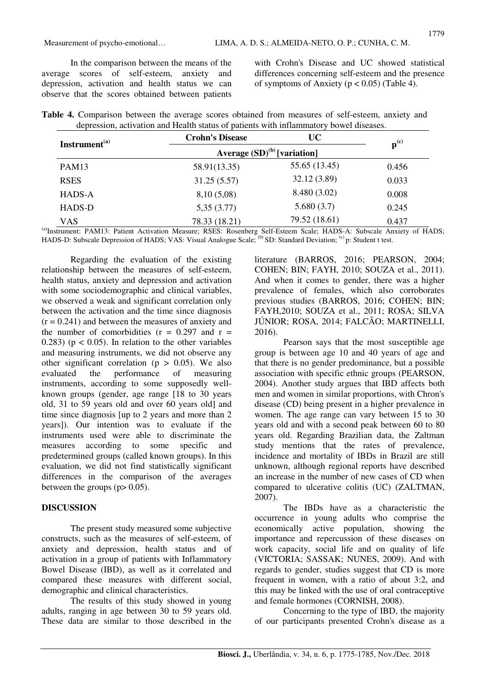Measurement of psycho-emotional… LIMA, A. D. S.; ALMEIDA-NETO, O. P.; CUNHA, C. M.

| Table 4. Comparison between the average scores obtained from measures of self-esteem, anxiety and |  |  |  |  |  |
|---------------------------------------------------------------------------------------------------|--|--|--|--|--|
| depression, activation and Health status of patients with inflammatory bowel diseases.            |  |  |  |  |  |

| Instrument <sup>(a)</sup> | <b>Crohn's Disease</b>           | <b>UC</b>          |       |
|---------------------------|----------------------------------|--------------------|-------|
|                           | Average $(SD)^{(b)}$ [variation] | $\mathbf{p}^{(c)}$ |       |
| PAM13                     | 58.91(13.35)                     | 55.65 (13.45)      | 0.456 |
| <b>RSES</b>               | 31.25(5.57)                      | 32.12 (3.89)       | 0.033 |
| <b>HADS-A</b>             | 8,10(5,08)                       | 8.480 (3.02)       | 0.008 |
| <b>HADS-D</b>             | 5,35(3.77)                       | 5.680(3.7)         | 0.245 |
| <b>VAS</b>                | 78.33 (18.21)                    | 79.52 (18.61)      | 0.437 |

(a)Instrument: PAM13: Patient Activation Measure; RSES: Rosenberg Self-Esteem Scale; HADS-A: Subscale Anxiety of HADS; HADS-D: Subscale Depression of HADS; VAS: Visual Analogue Scale; <sup>(b)</sup> SD: Standard Deviation; <sup>(c)</sup> p: Student t test.

Regarding the evaluation of the existing relationship between the measures of self-esteem, health status, anxiety and depression and activation with some sociodemographic and clinical variables, we observed a weak and significant correlation only between the activation and the time since diagnosis  $(r = 0.241)$  and between the measures of anxiety and the number of comorbidities  $(r = 0.297$  and  $r =$ 0.283) ( $p < 0.05$ ). In relation to the other variables and measuring instruments, we did not observe any other significant correlation ( $p > 0.05$ ). We also evaluated the performance of measuring instruments, according to some supposedly wellknown groups (gender, age range [18 to 30 years old, 31 to 59 years old and over 60 years old] and time since diagnosis [up to 2 years and more than 2 years]). Our intention was to evaluate if the instruments used were able to discriminate the measures according to some specific and predetermined groups (called known groups). In this evaluation, we did not find statistically significant differences in the comparison of the averages between the groups  $(p> 0.05)$ .

### **DISCUSSION**

The present study measured some subjective constructs, such as the measures of self-esteem, of anxiety and depression, health status and of activation in a group of patients with Inflammatory Bowel Disease (IBD), as well as it correlated and compared these measures with different social, demographic and clinical characteristics.

The results of this study showed in young adults, ranging in age between 30 to 59 years old. These data are similar to those described in the literature (BARROS, 2016; PEARSON, 2004; COHEN; BIN; FAYH, 2010; SOUZA et al., 2011). And when it comes to gender, there was a higher prevalence of females, which also corroborates previous studies (BARROS, 2016; COHEN; BIN; FAYH,2010; SOUZA et al., 2011; ROSA; SILVA JÚNIOR; ROSA, 2014; FALCÃO; MARTINELLI, 2016).

Pearson says that the most susceptible age group is between age 10 and 40 years of age and that there is no gender predominance, but a possible association with specific ethnic groups (PEARSON, 2004). Another study argues that IBD affects both men and women in similar proportions, with Chron's disease (CD) being present in a higher prevalence in women. The age range can vary between 15 to 30 years old and with a second peak between 60 to 80 years old. Regarding Brazilian data, the Zaltman study mentions that the rates of prevalence, incidence and mortality of IBDs in Brazil are still unknown, although regional reports have described an increase in the number of new cases of CD when compared to ulcerative colitis (UC) (ZALTMAN, 2007).

The IBDs have as a characteristic the occurrence in young adults who comprise the economically active population, showing the importance and repercussion of these diseases on work capacity, social life and on quality of life (VICTORIA; SASSAK; NUNES, 2009). And with regards to gender, studies suggest that CD is more frequent in women, with a ratio of about 3:2, and this may be linked with the use of oral contraceptive and female hormones (CORNISH, 2008).

Concerning to the type of IBD, the majority of our participants presented Crohn's disease as a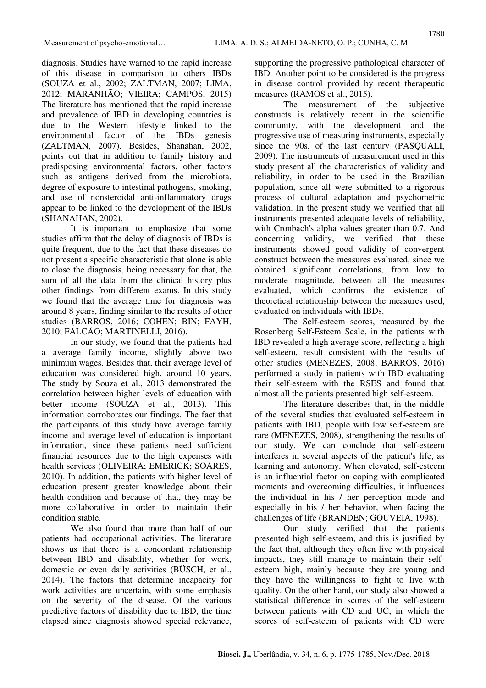diagnosis. Studies have warned to the rapid increase of this disease in comparison to others IBDs (SOUZA et al., 2002; ZALTMAN, 2007; LIMA, 2012; MARANHÃO; VIEIRA; CAMPOS, 2015) The literature has mentioned that the rapid increase and prevalence of IBD in developing countries is due to the Western lifestyle linked to the environmental factor of the IBDs genesis (ZALTMAN, 2007). Besides, Shanahan, 2002, points out that in addition to family history and predisposing environmental factors, other factors such as antigens derived from the microbiota, degree of exposure to intestinal pathogens, smoking, and use of nonsteroidal anti-inflammatory drugs appear to be linked to the development of the IBDs (SHANAHAN, 2002).

It is important to emphasize that some studies affirm that the delay of diagnosis of IBDs is quite frequent, due to the fact that these diseases do not present a specific characteristic that alone is able to close the diagnosis, being necessary for that, the sum of all the data from the clinical history plus other findings from different exams. In this study we found that the average time for diagnosis was around 8 years, finding similar to the results of other studies (BARROS, 2016; COHEN; BIN; FAYH, 2010; FALCÃO; MARTINELLI, 2016).

In our study, we found that the patients had a average family income, slightly above two minimum wages. Besides that, their average level of education was considered high, around 10 years. The study by Souza et al., 2013 demonstrated the correlation between higher levels of education with better income (SOUZA et al., 2013). This information corroborates our findings. The fact that the participants of this study have average family income and average level of education is important information, since these patients need sufficient financial resources due to the high expenses with health services (OLIVEIRA; EMERICK; SOARES, 2010). In addition, the patients with higher level of education present greater knowledge about their health condition and because of that, they may be more collaborative in order to maintain their condition stable.

We also found that more than half of our patients had occupational activities. The literature shows us that there is a concordant relationship between IBD and disability, whether for work, domestic or even daily activities (BÜSCH, et al., 2014). The factors that determine incapacity for work activities are uncertain, with some emphasis on the severity of the disease. Of the various predictive factors of disability due to IBD, the time elapsed since diagnosis showed special relevance, supporting the progressive pathological character of IBD. Another point to be considered is the progress in disease control provided by recent therapeutic measures (RAMOS et al., 2015).

The measurement of the subjective constructs is relatively recent in the scientific community, with the development and the progressive use of measuring instruments, especially since the 90s, of the last century (PASQUALI, 2009). The instruments of measurement used in this study present all the characteristics of validity and reliability, in order to be used in the Brazilian population, since all were submitted to a rigorous process of cultural adaptation and psychometric validation. In the present study we verified that all instruments presented adequate levels of reliability, with Cronbach's alpha values greater than 0.7. And concerning validity, we verified that these instruments showed good validity of convergent construct between the measures evaluated, since we obtained significant correlations, from low to moderate magnitude, between all the measures evaluated, which confirms the existence of theoretical relationship between the measures used, evaluated on individuals with IBDs.

The Self-esteem scores, measured by the Rosenberg Self-Esteem Scale, in the patients with IBD revealed a high average score, reflecting a high self-esteem, result consistent with the results of other studies (MENEZES, 2008; BARROS, 2016) performed a study in patients with IBD evaluating their self-esteem with the RSES and found that almost all the patients presented high self-esteem.

The literature describes that, in the middle of the several studies that evaluated self-esteem in patients with IBD, people with low self-esteem are rare (MENEZES, 2008), strengthening the results of our study. We can conclude that self-esteem interferes in several aspects of the patient's life, as learning and autonomy. When elevated, self-esteem is an influential factor on coping with complicated moments and overcoming difficulties, it influences the individual in his / her perception mode and especially in his / her behavior, when facing the challenges of life (BRANDEN; GOUVEIA, 1998).

Our study verified that the patients presented high self-esteem, and this is justified by the fact that, although they often live with physical impacts, they still manage to maintain their selfesteem high, mainly because they are young and they have the willingness to fight to live with quality. On the other hand, our study also showed a statistical difference in scores of the self-esteem between patients with CD and UC, in which the scores of self-esteem of patients with CD were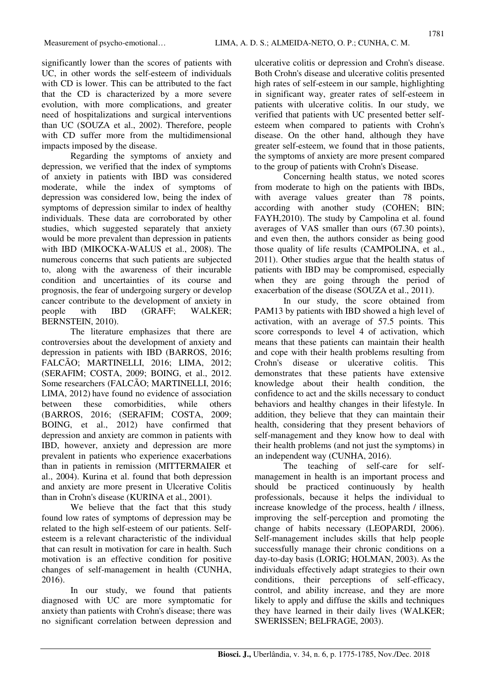significantly lower than the scores of patients with UC, in other words the self-esteem of individuals with CD is lower. This can be attributed to the fact that the CD is characterized by a more severe evolution, with more complications, and greater need of hospitalizations and surgical interventions than UC (SOUZA et al., 2002). Therefore, people with CD suffer more from the multidimensional impacts imposed by the disease.

Regarding the symptoms of anxiety and depression, we verified that the index of symptoms of anxiety in patients with IBD was considered moderate, while the index of symptoms of depression was considered low, being the index of symptoms of depression similar to index of healthy individuals. These data are corroborated by other studies, which suggested separately that anxiety would be more prevalent than depression in patients with IBD (MIKOCKA-WALUS et al., 2008). The numerous concerns that such patients are subjected to, along with the awareness of their incurable condition and uncertainties of its course and prognosis, the fear of undergoing surgery or develop cancer contribute to the development of anxiety in people with IBD (GRAFF; WALKER; BERNSTEIN, 2010).

The literature emphasizes that there are controversies about the development of anxiety and depression in patients with IBD (BARROS, 2016; FALCÃO; MARTINELLI, 2016; LIMA, 2012; (SERAFIM; COSTA, 2009; BOING, et al., 2012. Some researchers (FALCÃO; MARTINELLI, 2016; LIMA, 2012) have found no evidence of association between these comorbidities, while others (BARROS, 2016; (SERAFIM; COSTA, 2009; BOING, et al., 2012) have confirmed that depression and anxiety are common in patients with IBD, however, anxiety and depression are more prevalent in patients who experience exacerbations than in patients in remission (MITTERMAIER et al., 2004). Kurina et al. found that both depression and anxiety are more present in Ulcerative Colitis than in Crohn's disease (KURINA et al., 2001).

We believe that the fact that this study found low rates of symptoms of depression may be related to the high self-esteem of our patients. Selfesteem is a relevant characteristic of the individual that can result in motivation for care in health. Such motivation is an effective condition for positive changes of self-management in health (CUNHA, 2016).

In our study, we found that patients diagnosed with UC are more symptomatic for anxiety than patients with Crohn's disease; there was no significant correlation between depression and ulcerative colitis or depression and Crohn's disease. Both Crohn's disease and ulcerative colitis presented high rates of self-esteem in our sample, highlighting in significant way, greater rates of self-esteem in patients with ulcerative colitis. In our study, we verified that patients with UC presented better selfesteem when compared to patients with Crohn's disease. On the other hand, although they have greater self-esteem, we found that in those patients, the symptoms of anxiety are more present compared to the group of patients with Crohn's Disease.

Concerning health status, we noted scores from moderate to high on the patients with IBDs, with average values greater than 78 points, according with another study (COHEN; BIN; FAYH,2010). The study by Campolina et al. found averages of VAS smaller than ours (67.30 points), and even then, the authors consider as being good those quality of life results (CAMPOLINA, et al., 2011). Other studies argue that the health status of patients with IBD may be compromised, especially when they are going through the period of exacerbation of the disease (SOUZA et al., 2011).

In our study, the score obtained from PAM13 by patients with IBD showed a high level of activation, with an average of 57.5 points. This score corresponds to level 4 of activation, which means that these patients can maintain their health and cope with their health problems resulting from Crohn's disease or ulcerative colitis. This demonstrates that these patients have extensive knowledge about their health condition, the confidence to act and the skills necessary to conduct behaviors and healthy changes in their lifestyle. In addition, they believe that they can maintain their health, considering that they present behaviors of self-management and they know how to deal with their health problems (and not just the symptoms) in an independent way (CUNHA, 2016).

The teaching of self-care for selfmanagement in health is an important process and should be practiced continuously by health professionals, because it helps the individual to increase knowledge of the process, health / illness, improving the self-perception and promoting the change of habits necessary (LEOPARDI, 2006). Self-management includes skills that help people successfully manage their chronic conditions on a day-to-day basis (LORIG; HOLMAN, 2003). As the individuals effectively adapt strategies to their own conditions, their perceptions of self-efficacy, control, and ability increase, and they are more likely to apply and diffuse the skills and techniques they have learned in their daily lives (WALKER; SWERISSEN; BELFRAGE, 2003).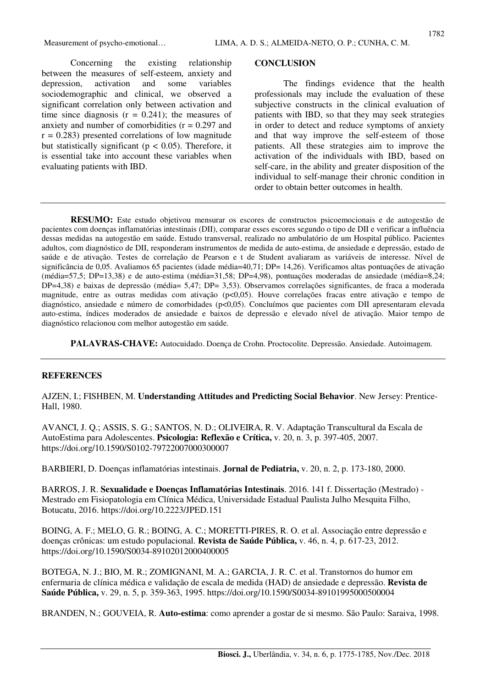Concerning the existing relationship between the measures of self-esteem, anxiety and depression, activation and some variables sociodemographic and clinical, we observed a significant correlation only between activation and time since diagnosis  $(r = 0.241)$ ; the measures of anxiety and number of comorbidities  $(r = 0.297)$  and  $r = 0.283$ ) presented correlations of low magnitude but statistically significant ( $p < 0.05$ ). Therefore, it is essential take into account these variables when evaluating patients with IBD.

#### **CONCLUSION**

The findings evidence that the health professionals may include the evaluation of these subjective constructs in the clinical evaluation of patients with IBD, so that they may seek strategies in order to detect and reduce symptoms of anxiety and that way improve the self-esteem of those patients. All these strategies aim to improve the activation of the individuals with IBD, based on self-care, in the ability and greater disposition of the individual to self-manage their chronic condition in order to obtain better outcomes in health.

**RESUMO:** Este estudo objetivou mensurar os escores de constructos psicoemocionais e de autogestão de pacientes com doenças inflamatórias intestinais (DII), comparar esses escores segundo o tipo de DII e verificar a influência dessas medidas na autogestão em saúde. Estudo transversal, realizado no ambulatório de um Hospital público. Pacientes adultos, com diagnóstico de DII, responderam instrumentos de medida de auto-estima, de ansiedade e depressão, estado de saúde e de ativação. Testes de correlação de Pearson e t de Student avaliaram as variáveis de interesse. Nível de significância de 0,05. Avaliamos 65 pacientes (idade média=40,71; DP= 14,26). Verificamos altas pontuações de ativação (média=57,5; DP=13,38) e de auto-estima (média=31,58; DP=4,98), pontuações moderadas de ansiedade (média=8,24; DP=4,38) e baixas de depressão (média= 5,47; DP= 3,53). Observamos correlações significantes, de fraca a moderada magnitude, entre as outras medidas com ativação (p<0,05). Houve correlações fracas entre ativação e tempo de diagnóstico, ansiedade e número de comorbidades (p<0,05). Concluímos que pacientes com DII apresentaram elevada auto-estima, índices moderados de ansiedade e baixos de depressão e elevado nível de ativação. Maior tempo de diagnóstico relacionou com melhor autogestão em saúde.

**PALAVRAS-CHAVE:** Autocuidado. Doença de Crohn. Proctocolite. Depressão. Ansiedade. Autoimagem.

#### **REFERENCES**

AJZEN, I.; FISHBEN, M. **Understanding Attitudes and Predicting Social Behavior**. New Jersey: Prentice-Hall, 1980.

AVANCI, J. Q.; ASSIS, S. G.; SANTOS, N. D.; OLIVEIRA, R. V. Adaptação Transcultural da Escala de AutoEstima para Adolescentes. **Psicologia: Reflexão e Crítica,** v. 20, n. 3, p. 397-405, 2007. https://doi.org/10.1590/S0102-79722007000300007

BARBIERI, D. Doenças inflamatórias intestinais. **Jornal de Pediatria,** v. 20, n. 2, p. 173-180, 2000.

BARROS, J. R. **Sexualidade e Doenças Inflamatórias Intestinais**. 2016. 141 f. Dissertação (Mestrado) - Mestrado em Fisiopatologia em Clínica Médica, Universidade Estadual Paulista Julho Mesquita Filho, Botucatu, 2016. https://doi.org/10.2223/JPED.151

BOING, A. F.; MELO, G. R.; BOING, A. C.; MORETTI-PIRES, R. O. et al. Associação entre depressão e doenças crônicas: um estudo populacional. **Revista de Saúde Pública,** v. 46, n. 4, p. 617-23, 2012. https://doi.org/10.1590/S0034-89102012000400005

BOTEGA, N. J.; BIO, M. R.; ZOMIGNANI, M. A.; GARCIA, J. R. C. et al. Transtornos do humor em enfermaria de clínica médica e validação de escala de medida (HAD) de ansiedade e depressão. **Revista de Saúde Pública,** v. 29, n. 5, p. 359-363, 1995. https://doi.org/10.1590/S0034-89101995000500004

BRANDEN, N.; GOUVEIA, R. **Auto-estima**: como aprender a gostar de si mesmo. São Paulo: Saraiva, 1998.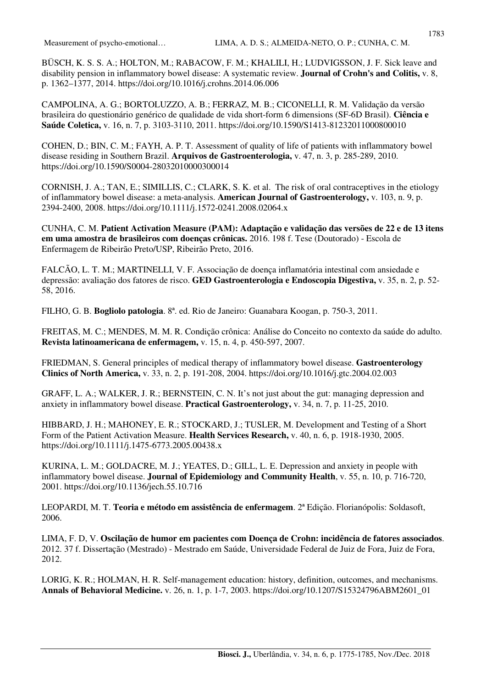BÜSCH, K. S. S. A.; HOLTON, M.; RABACOW, F. M.; KHALILI, H.; LUDVIGSSON, J. F. Sick leave and disability pension in inflammatory bowel disease: A systematic review. **Journal of Crohn's and Colitis,** v. 8, p. 1362–1377, 2014. https://doi.org/10.1016/j.crohns.2014.06.006

CAMPOLINA, A. G.; BORTOLUZZO, A. B.; FERRAZ, M. B.; CICONELLI, R. M. Validação da versão brasileira do questionário genérico de qualidade de vida short-form 6 dimensions (SF-6D Brasil). **Ciência e Saúde Coletica,** v. 16, n. 7, p. 3103-3110, 2011. https://doi.org/10.1590/S1413-81232011000800010

COHEN, D.; BIN, C. M.; FAYH, A. P. T. Assessment of quality of life of patients with inflammatory bowel disease residing in Southern Brazil. **Arquivos de Gastroenterologia,** v. 47, n. 3, p. 285-289, 2010. https://doi.org/10.1590/S0004-28032010000300014

CORNISH, J. A.; TAN, E.; SIMILLIS, C.; CLARK, S. K. et al. The risk of oral contraceptives in the etiology of inflammatory bowel disease: a meta-analysis. **American Journal of Gastroenterology,** v. 103, n. 9, p. 2394-2400, 2008. https://doi.org/10.1111/j.1572-0241.2008.02064.x

CUNHA, C. M. **Patient Activation Measure (PAM): Adaptação e validação das versões de 22 e de 13 itens em uma amostra de brasileiros com doenças crônicas.** 2016. 198 f. Tese (Doutorado) - Escola de Enfermagem de Ribeirão Preto/USP, Ribeirão Preto, 2016.

FALCÃO, L. T. M.; MARTINELLI, V. F. Associação de doença inflamatória intestinal com ansiedade e depressão: avaliação dos fatores de risco. **GED Gastroenterologia e Endoscopia Digestiva,** v. 35, n. 2, p. 52- 58, 2016.

FILHO, G. B. **Bogliolo patologia**. 8ª. ed. Rio de Janeiro: Guanabara Koogan, p. 750-3, 2011.

FREITAS, M. C.; MENDES, M. M. R. Condição crônica: Análise do Conceito no contexto da saúde do adulto. **Revista latinoamericana de enfermagem,** v. 15, n. 4, p. 450-597, 2007.

FRIEDMAN, S. General principles of medical therapy of inflammatory bowel disease. **Gastroenterology Clinics of North America,** v. 33, n. 2, p. 191-208, 2004. https://doi.org/10.1016/j.gtc.2004.02.003

GRAFF, L. A.; WALKER, J. R.; BERNSTEIN, C. N. It's not just about the gut: managing depression and anxiety in inflammatory bowel disease. **Practical Gastroenterology,** v. 34, n. 7, p. 11-25, 2010.

HIBBARD, J. H.; MAHONEY, E. R.; STOCKARD, J.; TUSLER, M. Development and Testing of a Short Form of the Patient Activation Measure. **Health Services Research,** v. 40, n. 6, p. 1918-1930, 2005. https://doi.org/10.1111/j.1475-6773.2005.00438.x

KURINA, L. M.; GOLDACRE, M. J.; YEATES, D.; GILL, L. E. Depression and anxiety in people with inflammatory bowel disease. **Journal of Epidemiology and Community Health**, v. 55, n. 10, p. 716-720, 2001. https://doi.org/10.1136/jech.55.10.716

LEOPARDI, M. T. **Teoria e método em assistência de enfermagem**. 2ª Edição. Florianópolis: Soldasoft, 2006.

LIMA, F. D, V. **Oscilação de humor em pacientes com Doença de Crohn: incidência de fatores associados**. 2012. 37 f. Dissertação (Mestrado) - Mestrado em Saúde, Universidade Federal de Juiz de Fora, Juiz de Fora, 2012.

LORIG, K. R.; HOLMAN, H. R. Self-management education: history, definition, outcomes, and mechanisms. **Annals of Behavioral Medicine.** v. 26, n. 1, p. 1-7, 2003. https://doi.org/10.1207/S15324796ABM2601\_01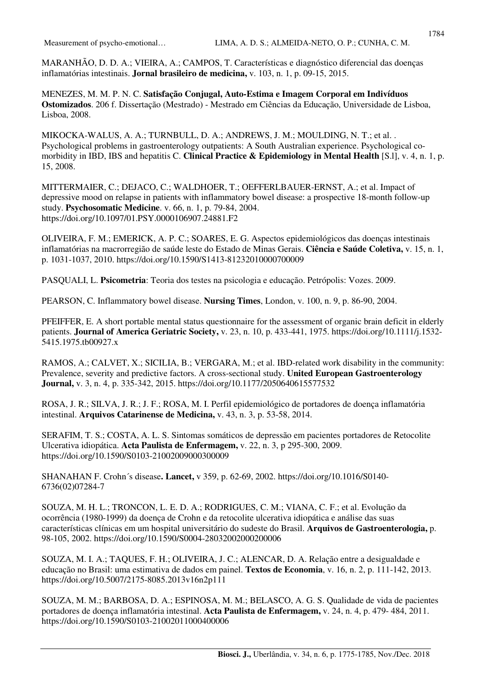MARANHÃO, D. D. A.; VIEIRA, A.; CAMPOS, T. Características e diagnóstico diferencial das doenças inflamatórias intestinais. **Jornal brasileiro de medicina,** v. 103, n. 1, p. 09-15, 2015.

MENEZES, M. M. P. N. C. **Satisfação Conjugal, Auto-Estima e Imagem Corporal em Indivíduos Ostomizados**. 206 f. Dissertação (Mestrado) - Mestrado em Ciências da Educação, Universidade de Lisboa, Lisboa, 2008.

MIKOCKA-WALUS, A. A.; TURNBULL, D. A.; ANDREWS, J. M.; MOULDING, N. T.; et al. . Psychological problems in gastroenterology outpatients: A South Australian experience. Psychological comorbidity in IBD, IBS and hepatitis C. **Clinical Practice & Epidemiology in Mental Health** [S.l], v. 4, n. 1, p. 15, 2008.

MITTERMAIER, C.; DEJACO, C.; WALDHOER, T.; OEFFERLBAUER-ERNST, A.; et al. Impact of depressive mood on relapse in patients with inflammatory bowel disease: a prospective 18-month follow-up study. **Psychosomatic Medicine**. v. 66, n. 1, p. 79-84, 2004. https://doi.org/10.1097/01.PSY.0000106907.24881.F2

OLIVEIRA, F. M.; EMERICK, A. P. C.; SOARES, E. G. Aspectos epidemiológicos das doenças intestinais inflamatórias na macrorregião de saúde leste do Estado de Minas Gerais. **Ciência e Saúde Coletiva,** v. 15, n. 1, p. 1031-1037, 2010. https://doi.org/10.1590/S1413-81232010000700009

PASQUALI, L. **Psicometria**: Teoria dos testes na psicologia e educação. Petrópolis: Vozes. 2009.

PEARSON, C. Inflammatory bowel disease. **Nursing Times**, London, v. 100, n. 9, p. 86-90, 2004.

PFEIFFER, E. A short portable mental status questionnaire for the assessment of organic brain deficit in elderly patients. **Journal of America Geriatric Society,** v. 23, n. 10, p. 433-441, 1975. https://doi.org/10.1111/j.1532- 5415.1975.tb00927.x

RAMOS, A.; CALVET, X.; SICILIA, B.; VERGARA, M.; et al. IBD-related work disability in the community: Prevalence, severity and predictive factors. A cross-sectional study. **United European Gastroenterology Journal,** v. 3, n. 4, p. 335-342, 2015. https://doi.org/10.1177/2050640615577532

ROSA, J. R.; SILVA, J. R.; J. F.; ROSA, M. I. Perfil epidemiológico de portadores de doença inflamatória intestinal. **Arquivos Catarinense de Medicina,** v. 43, n. 3, p. 53-58, 2014.

SERAFIM, T. S.; COSTA, A. L. S. Sintomas somáticos de depressão em pacientes portadores de Retocolite Ulcerativa idiopática. **Acta Paulista de Enfermagem,** v. 22, n. 3, p 295-300, 2009. https://doi.org/10.1590/S0103-21002009000300009

SHANAHAN F. Crohn´s disease**. Lancet,** v 359, p. 62-69, 2002. https://doi.org/10.1016/S0140- 6736(02)07284-7

SOUZA, M. H. L.; TRONCON, L. E. D. A.; RODRIGUES, C. M.; VIANA, C. F.; et al. Evolução da ocorrência (1980-1999) da doença de Crohn e da retocolite ulcerativa idiopática e análise das suas características clínicas em um hospital universitário do sudeste do Brasil. **Arquivos de Gastroenterologia,** p. 98-105, 2002. https://doi.org/10.1590/S0004-28032002000200006

SOUZA, M. I. A.; TAQUES, F. H.; OLIVEIRA, J. C.; ALENCAR, D. A. Relação entre a desigualdade e educação no Brasil: uma estimativa de dados em painel. **Textos de Economia**, v. 16, n. 2, p. 111-142, 2013. https://doi.org/10.5007/2175-8085.2013v16n2p111

SOUZA, M. M.; BARBOSA, D. A.; ESPINOSA, M. M.; BELASCO, A. G. S. Qualidade de vida de pacientes portadores de doença inflamatória intestinal. **Acta Paulista de Enfermagem,** v. 24, n. 4, p. 479- 484, 2011. https://doi.org/10.1590/S0103-21002011000400006